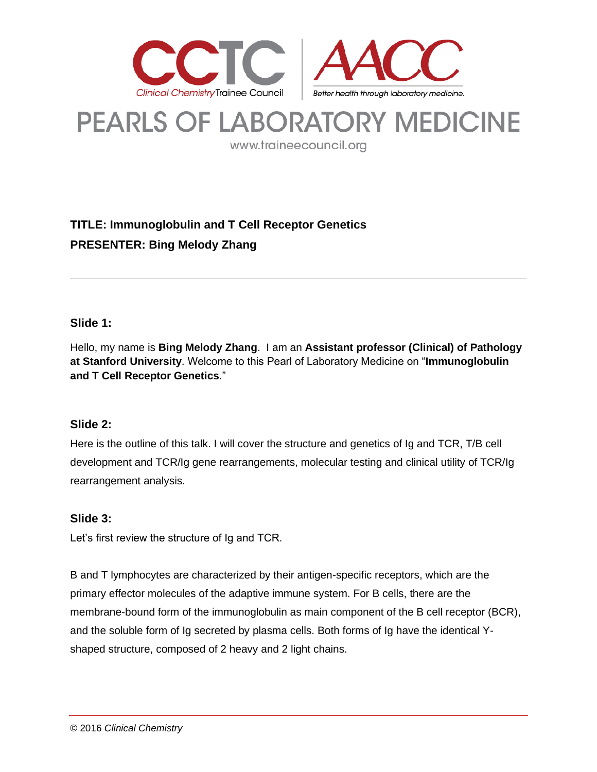

# **PEARLS OF LABORATORY MEDICINE**

www.traineecouncil.org

# **TITLE: Immunoglobulin and T Cell Receptor Genetics PRESENTER: Bing Melody Zhang**

# **Slide 1:**

Hello, my name is **Bing Melody Zhang**. I am an **Assistant professor (Clinical) of Pathology at Stanford University**. Welcome to this Pearl of Laboratory Medicine on "**Immunoglobulin and T Cell Receptor Genetics**."

## **Slide 2:**

Here is the outline of this talk. I will cover the structure and genetics of Ig and TCR, T/B cell development and TCR/Ig gene rearrangements, molecular testing and clinical utility of TCR/Ig rearrangement analysis.

## **Slide 3:**

Let's first review the structure of Ig and TCR.

B and T lymphocytes are characterized by their antigen-specific receptors, which are the primary effector molecules of the adaptive immune system. For B cells, there are the membrane-bound form of the immunoglobulin as main component of the B cell receptor (BCR), and the soluble form of Ig secreted by plasma cells. Both forms of Ig have the identical Yshaped structure, composed of 2 heavy and 2 light chains.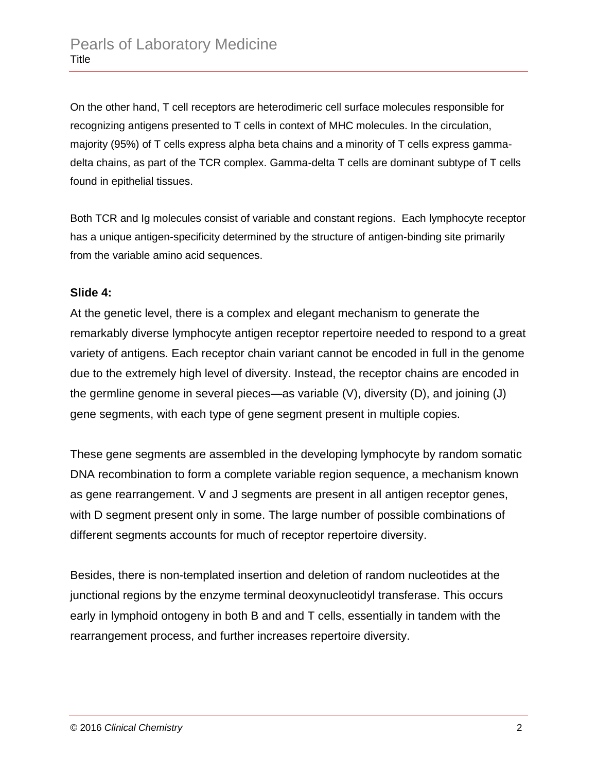On the other hand, T cell receptors are heterodimeric cell surface molecules responsible for recognizing antigens presented to T cells in context of MHC molecules. In the circulation, majority (95%) of T cells express alpha beta chains and a minority of T cells express gammadelta chains, as part of the TCR complex. Gamma-delta T cells are dominant subtype of T cells found in epithelial tissues.

Both TCR and Ig molecules consist of variable and constant regions. Each lymphocyte receptor has a unique antigen-specificity determined by the structure of antigen-binding site primarily from the variable amino acid sequences.

## **Slide 4:**

At the genetic level, there is a complex and elegant mechanism to generate the remarkably diverse lymphocyte antigen receptor repertoire needed to respond to a great variety of antigens. Each receptor chain variant cannot be encoded in full in the genome due to the extremely high level of diversity. Instead, the receptor chains are encoded in the germline genome in several pieces—as variable (V), diversity (D), and joining (J) gene segments, with each type of gene segment present in multiple copies.

These gene segments are assembled in the developing lymphocyte by random somatic DNA recombination to form a complete variable region sequence, a mechanism known as gene rearrangement. V and J segments are present in all antigen receptor genes, with D segment present only in some. The large number of possible combinations of different segments accounts for much of receptor repertoire diversity.

Besides, there is non-templated insertion and deletion of random nucleotides at the junctional regions by the enzyme terminal deoxynucleotidyl transferase. This occurs early in lymphoid ontogeny in both B and and T cells, essentially in tandem with the rearrangement process, and further increases repertoire diversity.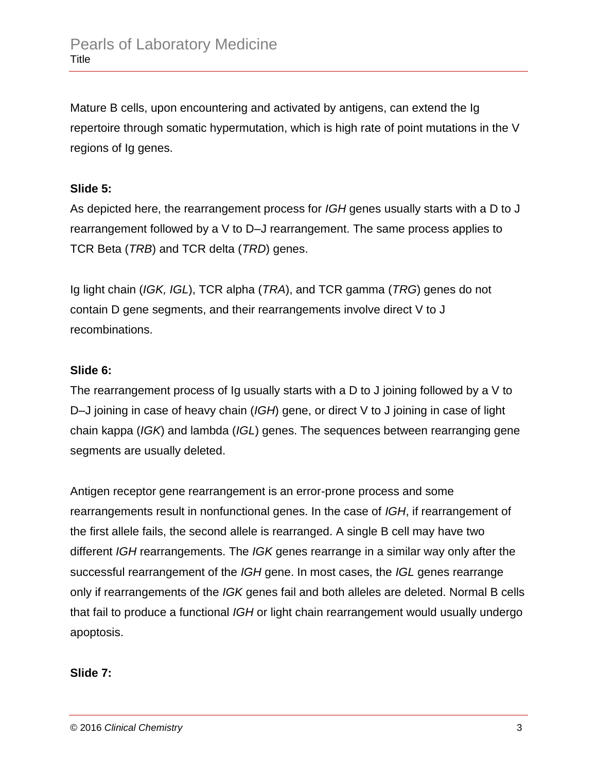Mature B cells, upon encountering and activated by antigens, can extend the Ig repertoire through somatic hypermutation, which is high rate of point mutations in the V regions of Ig genes.

# **Slide 5:**

As depicted here, the rearrangement process for *IGH* genes usually starts with a D to J rearrangement followed by a V to D–J rearrangement. The same process applies to TCR Beta (*TRB*) and TCR delta (*TRD*) genes.

Ig light chain (*IGK, IGL*), TCR alpha (*TRA*), and TCR gamma (*TRG*) genes do not contain D gene segments, and their rearrangements involve direct V to J recombinations.

# **Slide 6:**

The rearrangement process of Ig usually starts with a D to J joining followed by a V to D–J joining in case of heavy chain (*IGH*) gene, or direct V to J joining in case of light chain kappa (*IGK*) and lambda (*IGL*) genes. The sequences between rearranging gene segments are usually deleted.

Antigen receptor gene rearrangement is an error-prone process and some rearrangements result in nonfunctional genes. In the case of *IGH*, if rearrangement of the first allele fails, the second allele is rearranged. A single B cell may have two different *IGH* rearrangements. The *IGK* genes rearrange in a similar way only after the successful rearrangement of the *IGH* gene. In most cases, the *IGL* genes rearrange only if rearrangements of the *IGK* genes fail and both alleles are deleted. Normal B cells that fail to produce a functional *IGH* or light chain rearrangement would usually undergo apoptosis.

# **Slide 7:**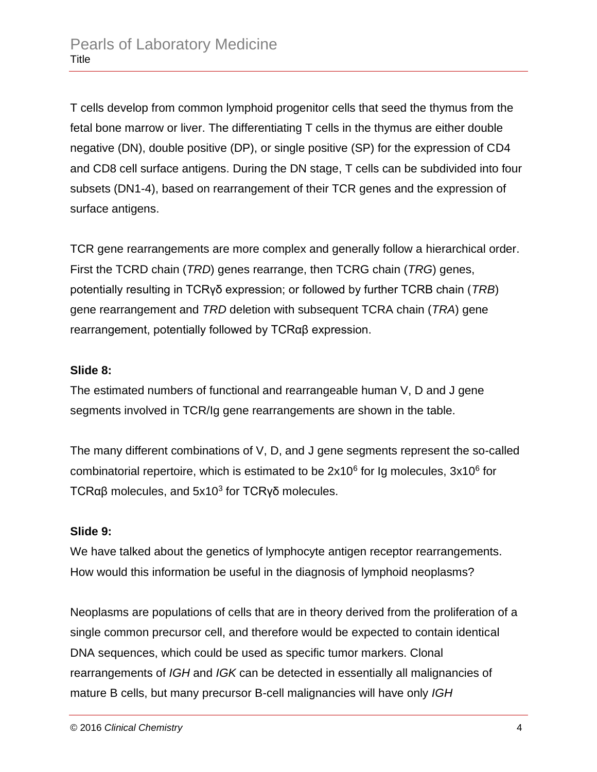T cells develop from common lymphoid progenitor cells that seed the thymus from the fetal bone marrow or liver. The differentiating T cells in the thymus are either double negative (DN), double positive (DP), or single positive (SP) for the expression of CD4 and CD8 cell surface antigens. During the DN stage, T cells can be subdivided into four subsets (DN1-4), based on rearrangement of their TCR genes and the expression of surface antigens.

TCR gene rearrangements are more complex and generally follow a hierarchical order. First the TCRD chain (*TRD*) genes rearrange, then TCRG chain (*TRG*) genes, potentially resulting in TCRγδ expression; or followed by further TCRB chain (*TRB*) gene rearrangement and *TRD* deletion with subsequent TCRA chain (*TRA*) gene rearrangement, potentially followed by TCRαβ expression.

# **Slide 8:**

The estimated numbers of functional and rearrangeable human V, D and J gene segments involved in TCR/Ig gene rearrangements are shown in the table.

The many different combinations of V, D, and J gene segments represent the so-called combinatorial repertoire, which is estimated to be  $2x10^6$  for Ig molecules,  $3x10^6$  for TCRαβ molecules, and  $5x10<sup>3</sup>$  for TCRγδ molecules.

## **Slide 9:**

We have talked about the genetics of lymphocyte antigen receptor rearrangements. How would this information be useful in the diagnosis of lymphoid neoplasms?

Neoplasms are populations of cells that are in theory derived from the proliferation of a single common precursor cell, and therefore would be expected to contain identical DNA sequences, which could be used as specific tumor markers. Clonal rearrangements of *IGH* and *IGK* can be detected in essentially all malignancies of mature B cells, but many precursor B-cell malignancies will have only *IGH*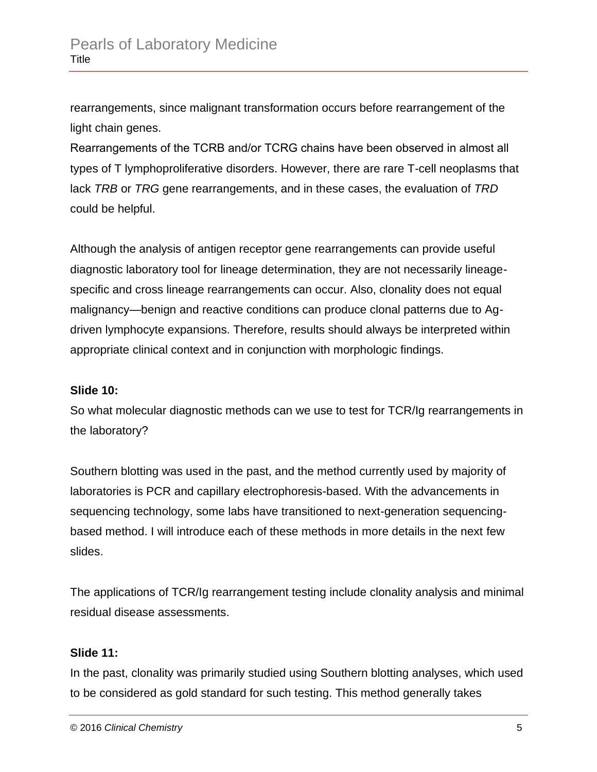rearrangements, since malignant transformation occurs before rearrangement of the light chain genes.

Rearrangements of the TCRΒ and/or TCRG chains have been observed in almost all types of T lymphoproliferative disorders. However, there are rare T-cell neoplasms that lack *TRB* or *TRG* gene rearrangements, and in these cases, the evaluation of *TRD* could be helpful.

Although the analysis of antigen receptor gene rearrangements can provide useful diagnostic laboratory tool for lineage determination, they are not necessarily lineagespecific and cross lineage rearrangements can occur. Also, clonality does not equal malignancy—benign and reactive conditions can produce clonal patterns due to Agdriven lymphocyte expansions. Therefore, results should always be interpreted within appropriate clinical context and in conjunction with morphologic findings.

# **Slide 10:**

So what molecular diagnostic methods can we use to test for TCR/Ig rearrangements in the laboratory?

Southern blotting was used in the past, and the method currently used by majority of laboratories is PCR and capillary electrophoresis-based. With the advancements in sequencing technology, some labs have transitioned to next-generation sequencingbased method. I will introduce each of these methods in more details in the next few slides.

The applications of TCR/Ig rearrangement testing include clonality analysis and minimal residual disease assessments.

## **Slide 11:**

In the past, clonality was primarily studied using Southern blotting analyses, which used to be considered as gold standard for such testing. This method generally takes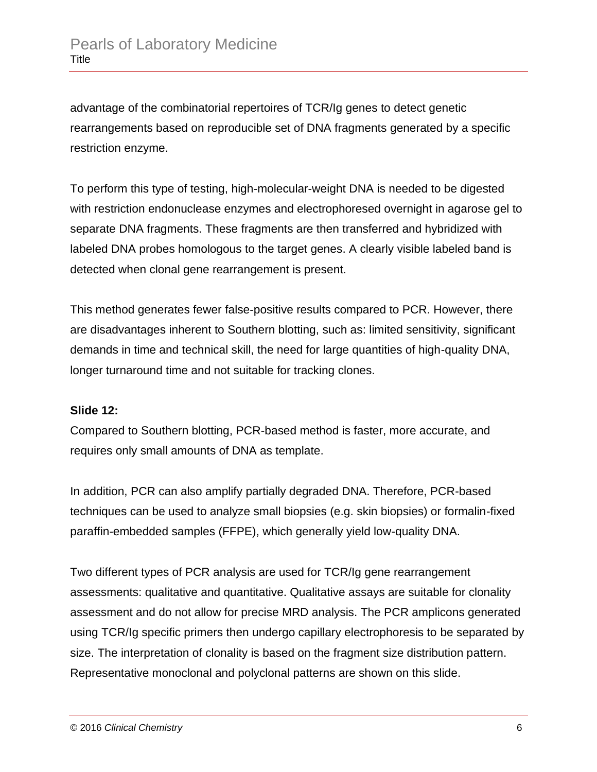advantage of the combinatorial repertoires of TCR/Ig genes to detect genetic rearrangements based on reproducible set of DNA fragments generated by a specific restriction enzyme.

To perform this type of testing, high-molecular-weight DNA is needed to be digested with restriction endonuclease enzymes and electrophoresed overnight in agarose gel to separate DNA fragments. These fragments are then transferred and hybridized with labeled DNA probes homologous to the target genes. A clearly visible labeled band is detected when clonal gene rearrangement is present.

This method generates fewer false-positive results compared to PCR. However, there are disadvantages inherent to Southern blotting, such as: limited sensitivity, significant demands in time and technical skill, the need for large quantities of high-quality DNA, longer turnaround time and not suitable for tracking clones.

## **Slide 12:**

Compared to Southern blotting, PCR-based method is faster, more accurate, and requires only small amounts of DNA as template.

In addition, PCR can also amplify partially degraded DNA. Therefore, PCR-based techniques can be used to analyze small biopsies (e.g. skin biopsies) or formalin-fixed paraffin-embedded samples (FFPE), which generally yield low-quality DNA.

Two different types of PCR analysis are used for TCR/Ig gene rearrangement assessments: qualitative and quantitative. Qualitative assays are suitable for clonality assessment and do not allow for precise MRD analysis. The PCR amplicons generated using TCR/Ig specific primers then undergo capillary electrophoresis to be separated by size. The interpretation of clonality is based on the fragment size distribution pattern. Representative monoclonal and polyclonal patterns are shown on this slide.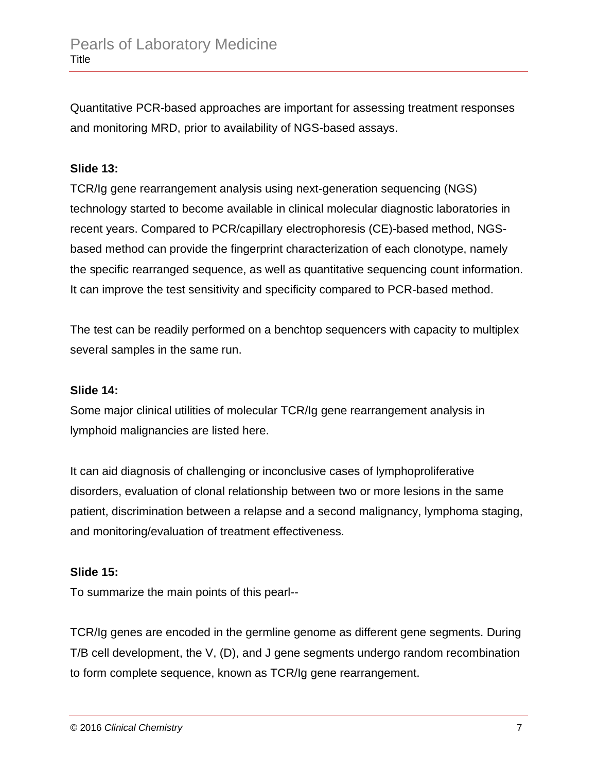Quantitative PCR-based approaches are important for assessing treatment responses and monitoring MRD, prior to availability of NGS-based assays.

# **Slide 13:**

TCR/Ig gene rearrangement analysis using next-generation sequencing (NGS) technology started to become available in clinical molecular diagnostic laboratories in recent years. Compared to PCR/capillary electrophoresis (CE)-based method, NGSbased method can provide the fingerprint characterization of each clonotype, namely the specific rearranged sequence, as well as quantitative sequencing count information. It can improve the test sensitivity and specificity compared to PCR-based method.

The test can be readily performed on a benchtop sequencers with capacity to multiplex several samples in the same run.

## **Slide 14:**

Some major clinical utilities of molecular TCR/Ig gene rearrangement analysis in lymphoid malignancies are listed here.

It can aid diagnosis of challenging or inconclusive cases of lymphoproliferative disorders, evaluation of clonal relationship between two or more lesions in the same patient, discrimination between a relapse and a second malignancy, lymphoma staging, and monitoring/evaluation of treatment effectiveness.

## **Slide 15:**

To summarize the main points of this pearl--

TCR/Ig genes are encoded in the germline genome as different gene segments. During T/B cell development, the V, (D), and J gene segments undergo random recombination to form complete sequence, known as TCR/Ig gene rearrangement.